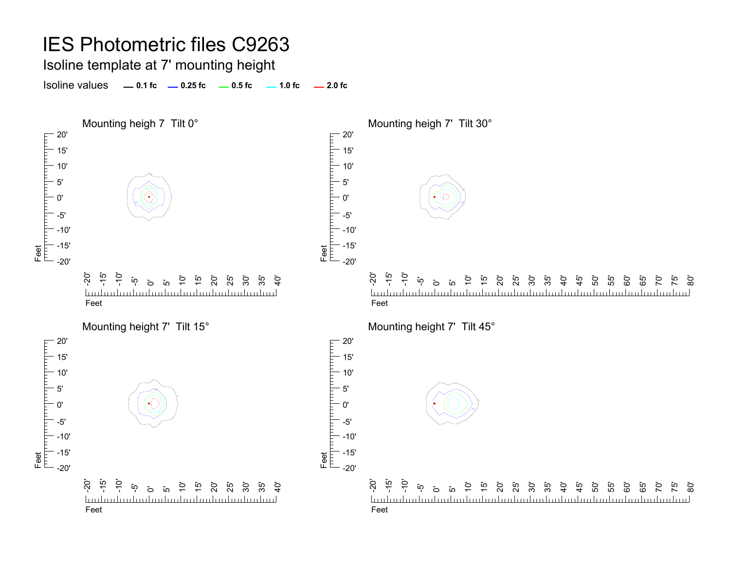Isoline template at 7' mounting height

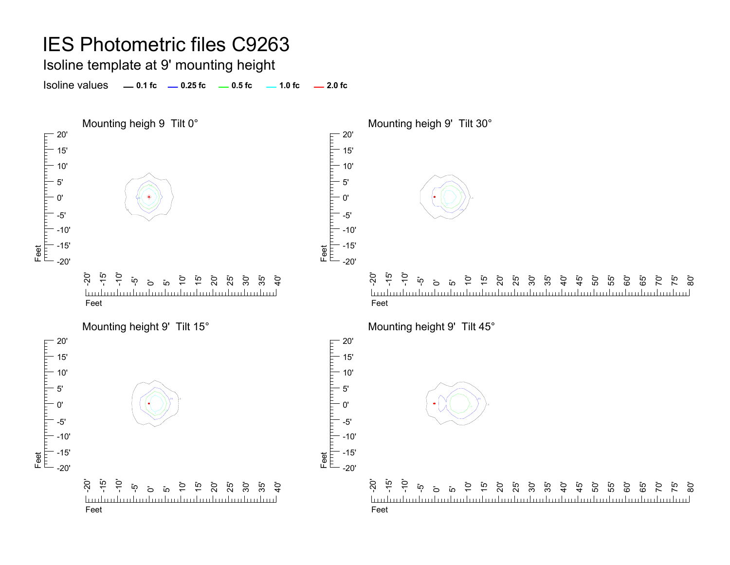Isoline template at 9' mounting height

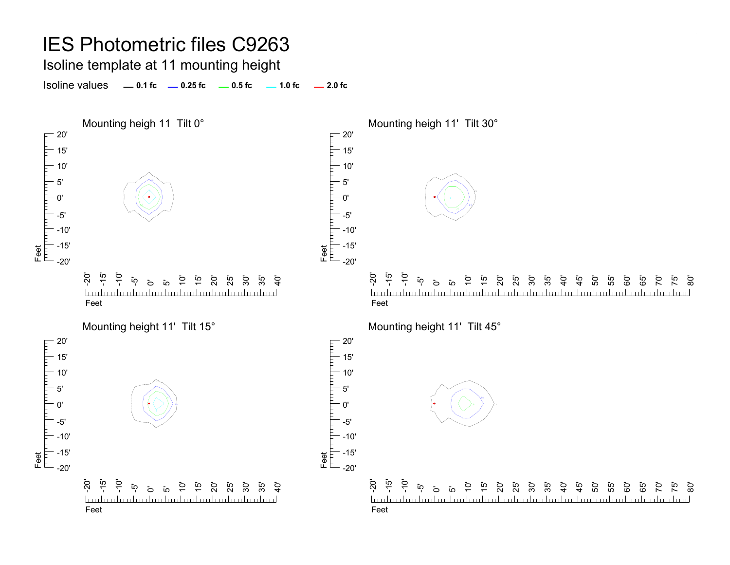Isoline template at 11 mounting height

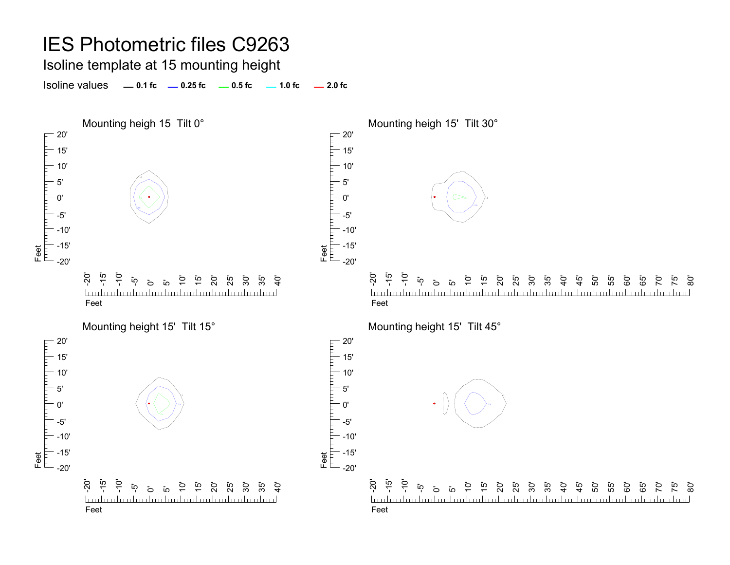#### Isoline template at 15 mounting height

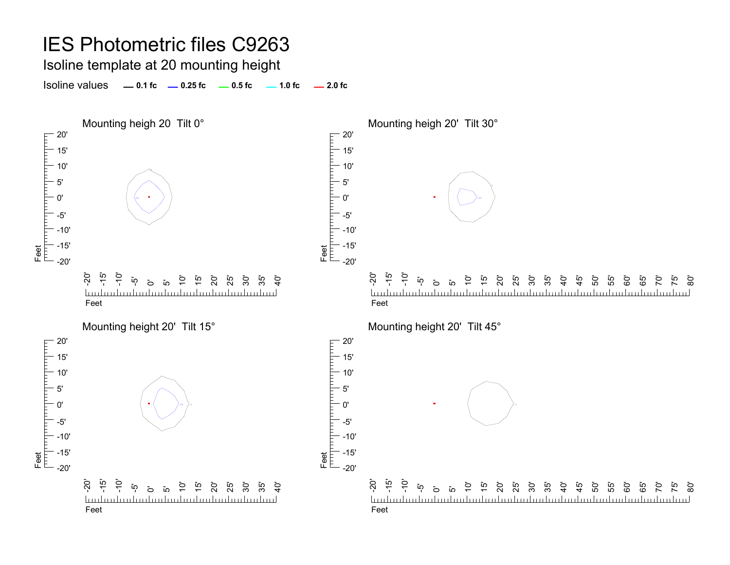Isoline template at 20 mounting height